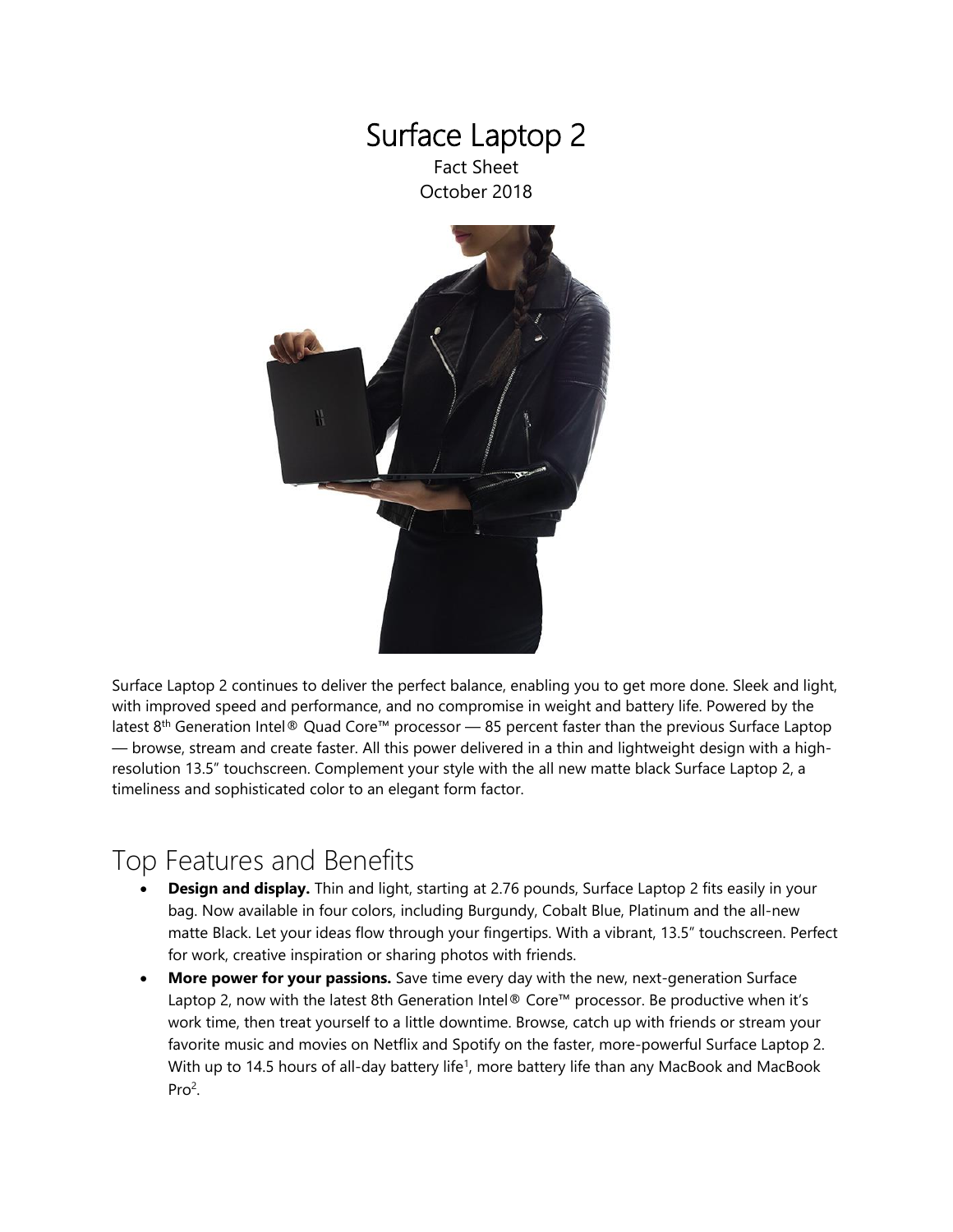

Surface Laptop 2 continues to deliver the perfect balance, enabling you to get more done. Sleek and light, with improved speed and performance, and no compromise in weight and battery life. Powered by the latest 8th Generation Intel® Quad Core™ processor — 85 percent faster than the previous Surface Laptop — browse, stream and create faster. All this power delivered in a thin and lightweight design with a highresolution 13.5" touchscreen. Complement your style with the all new matte black Surface Laptop 2, a timeliness and sophisticated color to an elegant form factor.

# Top Features and Benefits

- **Design and display.** Thin and light, starting at 2.76 pounds, Surface Laptop 2 fits easily in your bag. Now available in four colors, including Burgundy, Cobalt Blue, Platinum and the all-new matte Black. Let your ideas flow through your fingertips. With a vibrant, 13.5" touchscreen. Perfect for work, creative inspiration or sharing photos with friends.
- **More power for your passions.** Save time every day with the new, next-generation Surface Laptop 2, now with the latest 8th Generation Intel® Core™ processor. Be productive when it's work time, then treat yourself to a little downtime. Browse, catch up with friends or stream your favorite music and movies on Netflix and Spotify on the faster, more-powerful Surface Laptop 2. With up to 14.5 hours of all-day battery life<sup>1</sup>, more battery life than any MacBook and MacBook Pro<sup>2</sup>.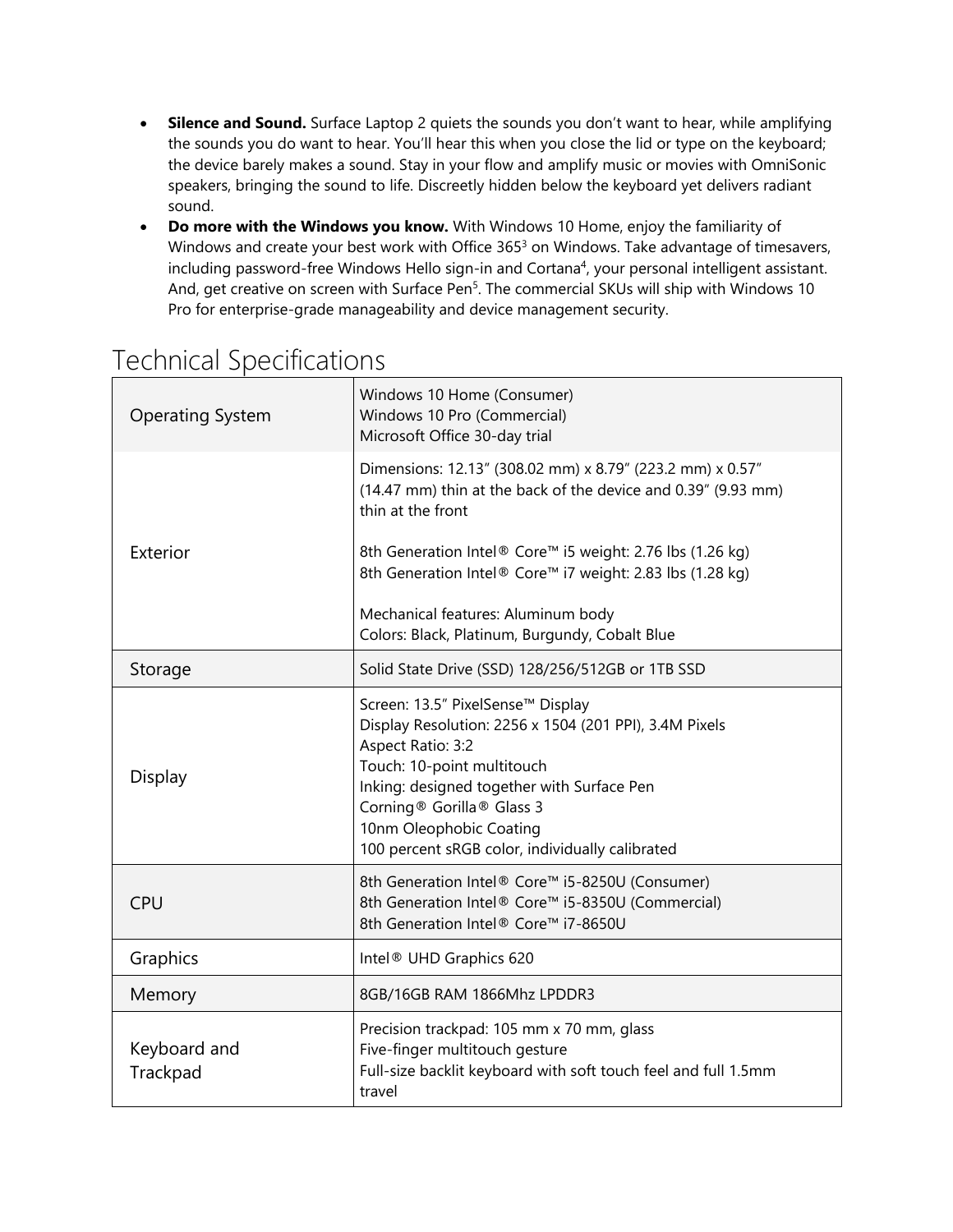- **Silence and Sound.** Surface Laptop 2 quiets the sounds you don't want to hear, while amplifying the sounds you do want to hear. You'll hear this when you close the lid or type on the keyboard; the device barely makes a sound. Stay in your flow and amplify music or movies with OmniSonic speakers, bringing the sound to life. Discreetly hidden below the keyboard yet delivers radiant sound.
- **Do more with the Windows you know.** With Windows 10 Home, enjoy the familiarity of Windows and create your best work with Office 365<sup>3</sup> on Windows. Take advantage of timesavers, including password-free Windows Hello sign-in and Cortana<sup>4</sup>, your personal intelligent assistant. And, get creative on screen with Surface Pen<sup>5</sup>. The commercial SKUs will ship with Windows 10 Pro for enterprise-grade manageability and device management security.

| <b>Operating System</b>  | Windows 10 Home (Consumer)<br>Windows 10 Pro (Commercial)<br>Microsoft Office 30-day trial                                                                                                                                                                                                              |
|--------------------------|---------------------------------------------------------------------------------------------------------------------------------------------------------------------------------------------------------------------------------------------------------------------------------------------------------|
|                          | Dimensions: 12.13" (308.02 mm) x 8.79" (223.2 mm) x 0.57"<br>(14.47 mm) thin at the back of the device and 0.39" (9.93 mm)<br>thin at the front                                                                                                                                                         |
| Exterior                 | 8th Generation Intel® Core™ i5 weight: 2.76 lbs (1.26 kg)<br>8th Generation Intel® Core™ i7 weight: 2.83 lbs (1.28 kg)                                                                                                                                                                                  |
|                          | Mechanical features: Aluminum body<br>Colors: Black, Platinum, Burgundy, Cobalt Blue                                                                                                                                                                                                                    |
| Storage                  | Solid State Drive (SSD) 128/256/512GB or 1TB SSD                                                                                                                                                                                                                                                        |
| Display                  | Screen: 13.5" PixelSense™ Display<br>Display Resolution: 2256 x 1504 (201 PPI), 3.4M Pixels<br>Aspect Ratio: 3:2<br>Touch: 10-point multitouch<br>Inking: designed together with Surface Pen<br>Corning® Gorilla® Glass 3<br>10nm Oleophobic Coating<br>100 percent sRGB color, individually calibrated |
| <b>CPU</b>               | 8th Generation Intel® Core™ i5-8250U (Consumer)<br>8th Generation Intel® Core™ i5-8350U (Commercial)<br>8th Generation Intel® Core™ i7-8650U                                                                                                                                                            |
| Graphics                 | Intel <sup>®</sup> UHD Graphics 620                                                                                                                                                                                                                                                                     |
| Memory                   | 8GB/16GB RAM 1866Mhz LPDDR3                                                                                                                                                                                                                                                                             |
| Keyboard and<br>Trackpad | Precision trackpad: 105 mm x 70 mm, glass<br>Five-finger multitouch gesture<br>Full-size backlit keyboard with soft touch feel and full 1.5mm<br>travel                                                                                                                                                 |

# Technical Specifications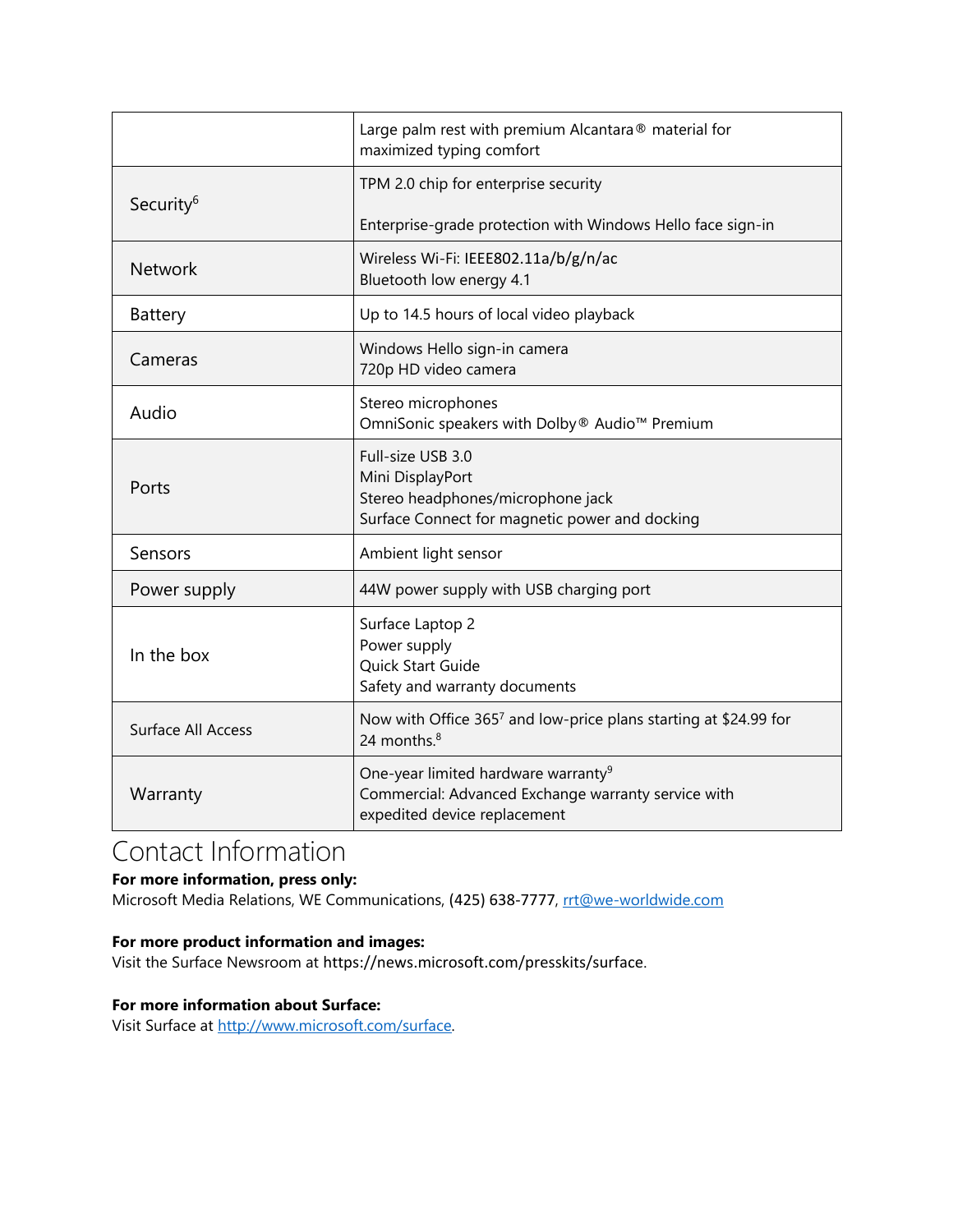|                       | Large palm rest with premium Alcantara® material for<br>maximized typing comfort                                                       |
|-----------------------|----------------------------------------------------------------------------------------------------------------------------------------|
| Security <sup>6</sup> | TPM 2.0 chip for enterprise security                                                                                                   |
|                       | Enterprise-grade protection with Windows Hello face sign-in                                                                            |
| <b>Network</b>        | Wireless Wi-Fi: IEEE802.11a/b/g/n/ac<br>Bluetooth low energy 4.1                                                                       |
| Battery               | Up to 14.5 hours of local video playback                                                                                               |
| Cameras               | Windows Hello sign-in camera<br>720p HD video camera                                                                                   |
| Audio                 | Stereo microphones<br>OmniSonic speakers with Dolby® Audio™ Premium                                                                    |
| Ports                 | Full-size USB 3.0<br>Mini DisplayPort<br>Stereo headphones/microphone jack<br>Surface Connect for magnetic power and docking           |
| Sensors               | Ambient light sensor                                                                                                                   |
| Power supply          | 44W power supply with USB charging port                                                                                                |
| In the box            | Surface Laptop 2<br>Power supply<br>Quick Start Guide<br>Safety and warranty documents                                                 |
| Surface All Access    | Now with Office 3657 and low-price plans starting at \$24.99 for<br>24 months. <sup>8</sup>                                            |
| Warranty              | One-year limited hardware warranty <sup>9</sup><br>Commercial: Advanced Exchange warranty service with<br>expedited device replacement |

## Contact Information

### **For more information, press only:**

Microsoft Media Relations, WE Communications, (425) 638-7777, rtt@we-worldwide.com

### **For more product information and images:**

Visit the Surface Newsroom at https://news.microsoft.com/presskits/surface.

#### **For more information about Surface:**

Visit Surface at [http://www.microsoft.com/surface.](http://www.microsoft.com/surface)